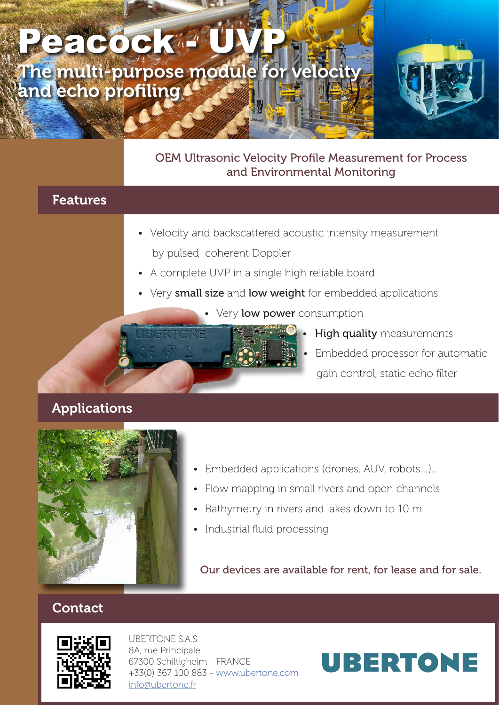## The multi-purpose module for veloci and echo profiling Peacock<sup>4</sup> U

#### OEM Ultrasonic Velocity Profile Measurement for Process and Environmental Monitoring

### Features

- Velocity and backscattered acoustic intensity measurement by pulsed coherent Doppler
- A complete UVP in a single high reliable board
- Very small size and low weight for embedded applications
	- Very low power consumption
		- **High quality** measurements
		- Embedded processor for automatic gain control, static echo filter

#### Applications



- Embedded applications (drones, AUV, robots...)...
- Flow mapping in small rivers and open channels
- Bathymetry in rivers and lakes down to 10 m
- Industrial fluid processing

Our devices are available for rent, for lease and for sale.

#### Contact



UBERTONE S.A.S. 8A, rue Principale 67300 Schiltigheim - FRANCE +33(0) 367 100 883 - www.ubertone.com info@ubertone.fr

# **UBERTONE**